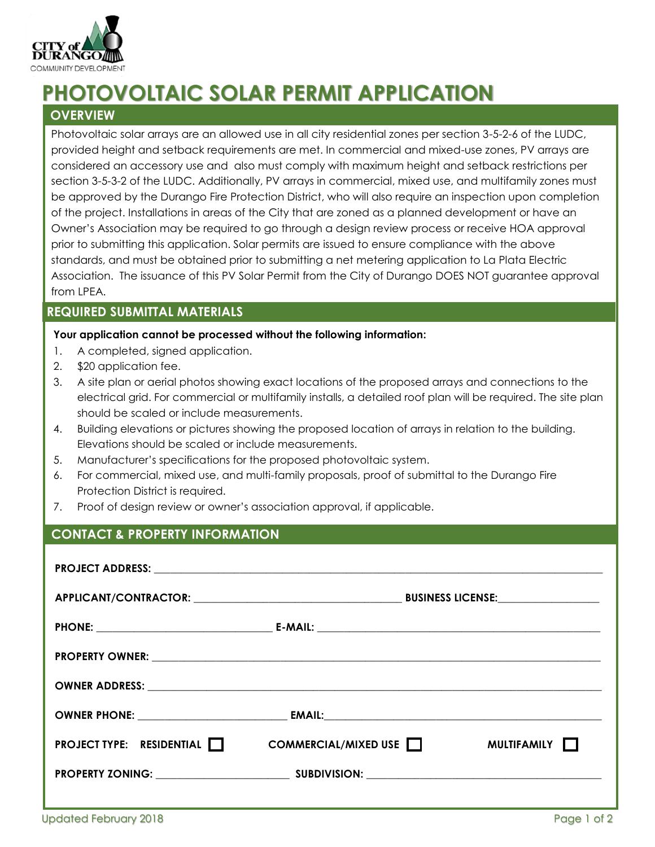

# **PHOTOVOLTAIC SOLAR PERMIT APPLICATION**

## **OVERVIEW**

Photovoltaic solar arrays are an allowed use in all city residential zones per section 3-5-2-6 of the LUDC, provided height and setback requirements are met. In commercial and mixed-use zones, PV arrays are considered an accessory use and also must comply with maximum height and setback restrictions per section 3-5-3-2 of the LUDC. Additionally, PV arrays in commercial, mixed use, and multifamily zones must be approved by the Durango Fire Protection District, who will also require an inspection upon completion of the project. Installations in areas of the City that are zoned as a planned development or have an Owner's Association may be required to go through a design review process or receive HOA approval prior to submitting this application. Solar permits are issued to ensure compliance with the above standards, and must be obtained prior to submitting a net metering application to La Plata Electric Association. The issuance of this PV Solar Permit from the City of Durango DOES NOT guarantee approval from LPEA.

### **REQUIRED SUBMITTAL MATERIALS**

#### **Your application cannot be processed without the following information:**

- 1. A completed, signed application.
- 2. \$20 application fee.
- 3. A site plan or aerial photos showing exact locations of the proposed arrays and connections to the electrical grid. For commercial or multifamily installs, a detailed roof plan will be required. The site plan should be scaled or include measurements.
- 4. Building elevations or pictures showing the proposed location of arrays in relation to the building. Elevations should be scaled or include measurements.
- 5. Manufacturer's specifications for the proposed photovoltaic system.
- 6. For commercial, mixed use, and multi-family proposals, proof of submittal to the Durango Fire Protection District is required.
- 7. Proof of design review or owner's association approval, if applicable.

## **CONTACT & PROPERTY INFORMATION**

| <b>PROJECT TYPE:</b> RESIDENTIAL $\Box$ COMMERCIAL/MIXED USE $\Box$ |  | <b>MULTIFAMILY    </b> |  |
|---------------------------------------------------------------------|--|------------------------|--|
|                                                                     |  |                        |  |
|                                                                     |  |                        |  |